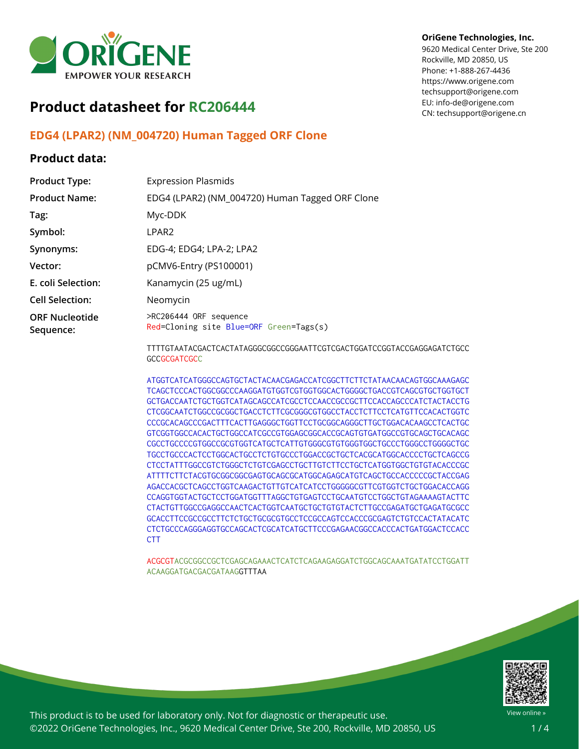

# **Product datasheet for RC206444**

### **EDG4 (LPAR2) (NM\_004720) Human Tagged ORF Clone**

### **Product data:**

#### **OriGene Technologies, Inc.**

9620 Medical Center Drive, Ste 200 Rockville, MD 20850, US Phone: +1-888-267-4436 https://www.origene.com techsupport@origene.com EU: info-de@origene.com CN: techsupport@origene.cn

| <b>Product Type:</b>               | <b>Expression Plasmids</b>                                        |
|------------------------------------|-------------------------------------------------------------------|
| <b>Product Name:</b>               | EDG4 (LPAR2) (NM_004720) Human Tagged ORF Clone                   |
| Tag:                               | Myc-DDK                                                           |
| Symbol:                            | LPAR <sub>2</sub>                                                 |
| Synonyms:                          | EDG-4; EDG4; LPA-2; LPA2                                          |
| Vector:                            | pCMV6-Entry (PS100001)                                            |
| E. coli Selection:                 | Kanamycin (25 ug/mL)                                              |
| <b>Cell Selection:</b>             | Neomycin                                                          |
| <b>ORF Nucleotide</b><br>Sequence: | >RC206444 ORF sequence<br>Red=Cloning site Blue=ORF Green=Tags(s) |
|                                    |                                                                   |

TTTTGTAATACGACTCACTATAGGGCGGCCGGGAATTCGTCGACTGGATCCGGTACCGAGGAGATCTGCC **GCCGCGATCGCC** 

ATGGTCATCATGGGCCAGTGCTACTACAACGAGACCATCGGCTTCTTCTATAACAACAGTGGCAAAGAGC TCAGCTCCCACTGGCGGCCCAAGGATGTGGTCGTGGTGGCACTGGGGCTGACCGTCAGCGTGCTGGTGCT GCTGACCAATCTGCTGGTCATAGCAGCCATCGCCTCCAACCGCCGCTTCCACCAGCCCATCTACTACCTG CTCGGCAATCTGGCCGCGGCTGACCTCTTCGCGGGCGTGGCCTACCTCTTCCTCATGTTCCACACTGGTC CCCGCACAGCCCGACTTTCACTTGAGGGCTGGTTCCTGCGGCAGGGCTTGCTGGACACAAGCCTCACTGC GTCGGTGGCCACACTGCTGGCCATCGCCGTGGAGCGGCACCGCAGTGTGATGGCCGTGCAGCTGCACAGC CGCCTGCCCCGTGGCCGCGTGGTCATGCTCATTGTGGGCGTGTGGGTGGCTGCCCTGGGCCTGGGGCTGC TGCCTGCCCACTCCTGGCACTGCCTCTGTGCCCTGGACCGCTGCTCACGCATGGCACCCCTGCTCAGCCG CTCCTATTTGGCCGTCTGGGCTCTGTCGAGCCTGCTTGTCTTCCTGCTCATGGTGGCTGTGTACACCCGC ATTTTCTTCTACGTGCGGCGGCGAGTGCAGCGCATGGCAGAGCATGTCAGCTGCCACCCCCGCTACCGAG AGACCACGCTCAGCCTGGTCAAGACTGTTGTCATCATCCTGGGGGCGTTCGTGGTCTGCTGGACACCAGG CCAGGTGGTACTGCTCCTGGATGGTTTAGGCTGTGAGTCCTGCAATGTCCTGGCTGTAGAAAAGTACTTC CTACTGTTGGCCGAGGCCAACTCACTGGTCAATGCTGCTGTGTACTCTTGCCGAGATGCTGAGATGCGCC GCACCTTCCGCCGCCTTCTCTGCTGCGCGTGCCTCCGCCAGTCCACCCGCGAGTCTGTCCACTATACATC CTCTGCCCAGGGAGGTGCCAGCACTCGCATCATGCTTCCCGAGAACGGCCACCCACTGATGGACTCCACC **CTT** 

ACGCGTACGCGGCCGCTCGAGCAGAAACTCATCTCAGAAGAGGATCTGGCAGCAAATGATATCCTGGATT ACAAGGATGACGACGATAAGGTTTAA



View online »

This product is to be used for laboratory only. Not for diagnostic or therapeutic use. ©2022 OriGene Technologies, Inc., 9620 Medical Center Drive, Ste 200, Rockville, MD 20850, US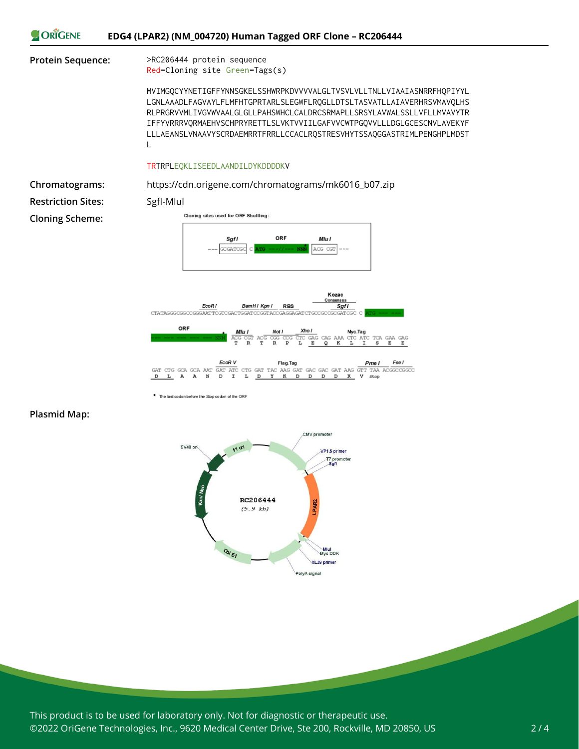

 $L$  A A  $\overline{D}$  $\mathbb N$  $\mathbf D$  $\mathbf I$ L  $D$  $\mathbf{Y}$  $\mathbf{R}$ D D  $\,$  D  $\mathbb D$ K V stop

\* The last codon before the Stop codon of the ORF

#### **Plasmid Map:**



This product is to be used for laboratory only. Not for diagnostic or therapeutic use. ©2022 OriGene Technologies, Inc., 9620 Medical Center Drive, Ste 200, Rockville, MD 20850, US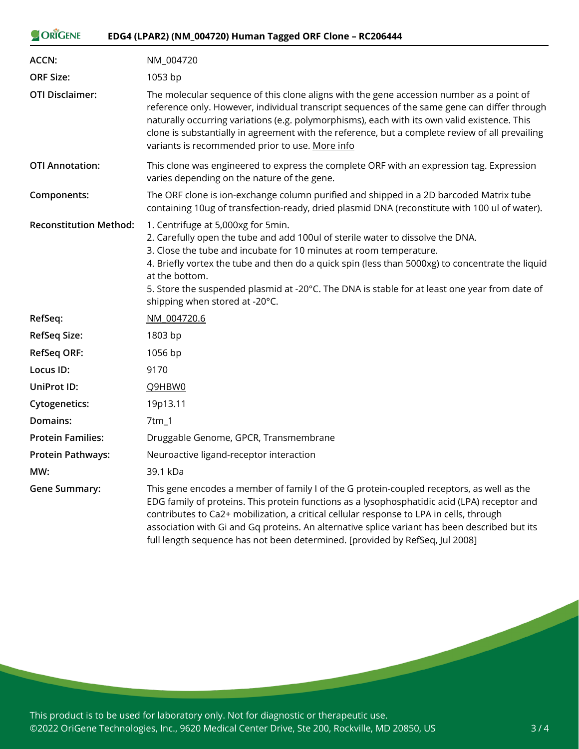| ORIGENE<br>EDG4 (LPAR2) (NM_004720) Human Tagged ORF Clone - RC206444 |                                                                                                                                                                                                                                                                                                                                                                                                                                                                       |
|-----------------------------------------------------------------------|-----------------------------------------------------------------------------------------------------------------------------------------------------------------------------------------------------------------------------------------------------------------------------------------------------------------------------------------------------------------------------------------------------------------------------------------------------------------------|
| ACCN:                                                                 | NM_004720                                                                                                                                                                                                                                                                                                                                                                                                                                                             |
| <b>ORF Size:</b>                                                      | 1053 bp                                                                                                                                                                                                                                                                                                                                                                                                                                                               |
| <b>OTI Disclaimer:</b>                                                | The molecular sequence of this clone aligns with the gene accession number as a point of<br>reference only. However, individual transcript sequences of the same gene can differ through<br>naturally occurring variations (e.g. polymorphisms), each with its own valid existence. This<br>clone is substantially in agreement with the reference, but a complete review of all prevailing<br>variants is recommended prior to use. More info                        |
| <b>OTI Annotation:</b>                                                | This clone was engineered to express the complete ORF with an expression tag. Expression<br>varies depending on the nature of the gene.                                                                                                                                                                                                                                                                                                                               |
| Components:                                                           | The ORF clone is ion-exchange column purified and shipped in a 2D barcoded Matrix tube<br>containing 10ug of transfection-ready, dried plasmid DNA (reconstitute with 100 ul of water).                                                                                                                                                                                                                                                                               |
| <b>Reconstitution Method:</b>                                         | 1. Centrifuge at 5,000xg for 5min.<br>2. Carefully open the tube and add 100ul of sterile water to dissolve the DNA.<br>3. Close the tube and incubate for 10 minutes at room temperature.<br>4. Briefly vortex the tube and then do a quick spin (less than 5000xg) to concentrate the liquid<br>at the bottom.<br>5. Store the suspended plasmid at -20°C. The DNA is stable for at least one year from date of<br>shipping when stored at -20°C.                   |
| RefSeq:                                                               | NM 004720.6                                                                                                                                                                                                                                                                                                                                                                                                                                                           |
| <b>RefSeq Size:</b>                                                   | 1803 bp                                                                                                                                                                                                                                                                                                                                                                                                                                                               |
| <b>RefSeq ORF:</b>                                                    | 1056 bp                                                                                                                                                                                                                                                                                                                                                                                                                                                               |
| Locus ID:                                                             | 9170                                                                                                                                                                                                                                                                                                                                                                                                                                                                  |
| UniProt ID:                                                           | Q9HBW0                                                                                                                                                                                                                                                                                                                                                                                                                                                                |
| <b>Cytogenetics:</b>                                                  | 19p13.11                                                                                                                                                                                                                                                                                                                                                                                                                                                              |
| Domains:                                                              | 7tm_1                                                                                                                                                                                                                                                                                                                                                                                                                                                                 |
| <b>Protein Families:</b>                                              | Druggable Genome, GPCR, Transmembrane                                                                                                                                                                                                                                                                                                                                                                                                                                 |
| <b>Protein Pathways:</b>                                              | Neuroactive ligand-receptor interaction                                                                                                                                                                                                                                                                                                                                                                                                                               |
| MW:                                                                   | 39.1 kDa                                                                                                                                                                                                                                                                                                                                                                                                                                                              |
| <b>Gene Summary:</b>                                                  | This gene encodes a member of family I of the G protein-coupled receptors, as well as the<br>EDG family of proteins. This protein functions as a lysophosphatidic acid (LPA) receptor and<br>contributes to Ca2+ mobilization, a critical cellular response to LPA in cells, through<br>association with Gi and Gq proteins. An alternative splice variant has been described but its<br>full length sequence has not been determined. [provided by RefSeq, Jul 2008] |

This product is to be used for laboratory only. Not for diagnostic or therapeutic use. ©2022 OriGene Technologies, Inc., 9620 Medical Center Drive, Ste 200, Rockville, MD 20850, US